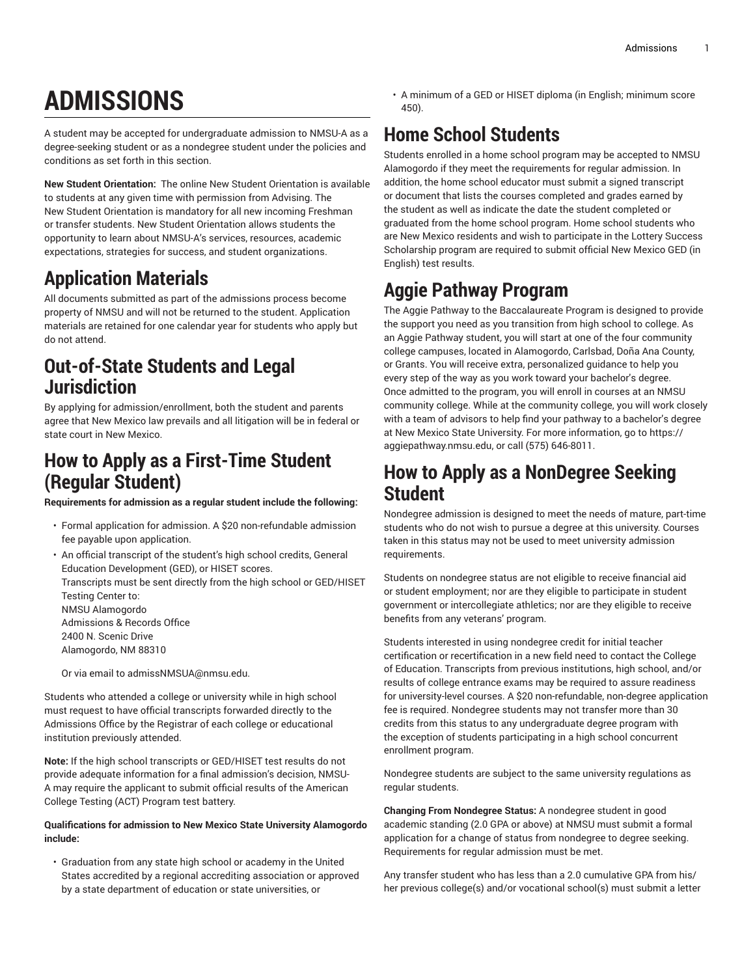# **ADMISSIONS**

A student may be accepted for undergraduate admission to NMSU-A as a degree-seeking student or as a nondegree student under the policies and conditions as set forth in this section.

**New Student Orientation:** The online New Student Orientation is available to students at any given time with permission from Advising. The New Student Orientation is mandatory for all new incoming Freshman or transfer students. New Student Orientation allows students the opportunity to learn about NMSU-A's services, resources, academic expectations, strategies for success, and student organizations.

# **Application Materials**

All documents submitted as part of the admissions process become property of NMSU and will not be returned to the student. Application materials are retained for one calendar year for students who apply but do not attend.

## **Out-of-State Students and Legal Jurisdiction**

By applying for admission/enrollment, both the student and parents agree that New Mexico law prevails and all litigation will be in federal or state court in New Mexico.

#### **How to Apply as a First-Time Student (Regular Student)**

**Requirements for admission as a regular student include the following:**

- Formal application for admission. A \$20 non-refundable admission fee payable upon application.
- An official transcript of the student's high school credits, General Education Development (GED), or HISET scores.

Transcripts must be sent directly from the high school or GED/HISET Testing Center to:

NMSU Alamogordo Admissions & Records Office 2400 N. Scenic Drive

Alamogordo, NM 88310

Or via email to admissNMSUA@nmsu.edu.

Students who attended a college or university while in high school must request to have official transcripts forwarded directly to the Admissions Office by the Registrar of each college or educational institution previously attended.

**Note:** If the high school transcripts or GED/HISET test results do not provide adequate information for a final admission's decision, NMSU-A may require the applicant to submit official results of the American College Testing (ACT) Program test battery.

#### **Qualifications for admission to New Mexico State University Alamogordo include:**

• Graduation from any state high school or academy in the United States accredited by a regional accrediting association or approved by a state department of education or state universities, or

• A minimum of a GED or HISET diploma (in English; minimum score 450).

# **Home School Students**

Students enrolled in a home school program may be accepted to NMSU Alamogordo if they meet the requirements for regular admission. In addition, the home school educator must submit a signed transcript or document that lists the courses completed and grades earned by the student as well as indicate the date the student completed or graduated from the home school program. Home school students who are New Mexico residents and wish to participate in the Lottery Success Scholarship program are required to submit official New Mexico GED (in English) test results.

# **Aggie Pathway Program**

The Aggie Pathway to the Baccalaureate Program is designed to provide the support you need as you transition from high school to college. As an Aggie Pathway student, you will start at one of the four community college campuses, located in Alamogordo, Carlsbad, Doña Ana County, or Grants. You will receive extra, personalized guidance to help you every step of the way as you work toward your bachelor's degree. Once admitted to the program, you will enroll in courses at an NMSU community college. While at the community college, you will work closely with a team of advisors to help find your pathway to a bachelor's degree at New Mexico State University. For more information, go to [https://](https://aggiepathway.nmsu.edu) [aggiepathway.nmsu.edu,](https://aggiepathway.nmsu.edu) or call (575) 646-8011.

#### **How to Apply as a NonDegree Seeking Student**

Nondegree admission is designed to meet the needs of mature, part-time students who do not wish to pursue a degree at this university. Courses taken in this status may not be used to meet university admission requirements.

Students on nondegree status are not eligible to receive financial aid or student employment; nor are they eligible to participate in student government or intercollegiate athletics; nor are they eligible to receive benefits from any veterans' program.

Students interested in using nondegree credit for initial teacher certification or recertification in a new field need to contact the College of Education. Transcripts from previous institutions, high school, and/or results of college entrance exams may be required to assure readiness for university-level courses. A \$20 non-refundable, non-degree application fee is required. Nondegree students may not transfer more than 30 credits from this status to any undergraduate degree program with the exception of students participating in a high school concurrent enrollment program.

Nondegree students are subject to the same university regulations as regular students.

**Changing From Nondegree Status:** A nondegree student in good academic standing (2.0 GPA or above) at NMSU must submit a formal application for a change of status from nondegree to degree seeking. Requirements for regular admission must be met.

Any transfer student who has less than a 2.0 cumulative GPA from his/ her previous college(s) and/or vocational school(s) must submit a letter